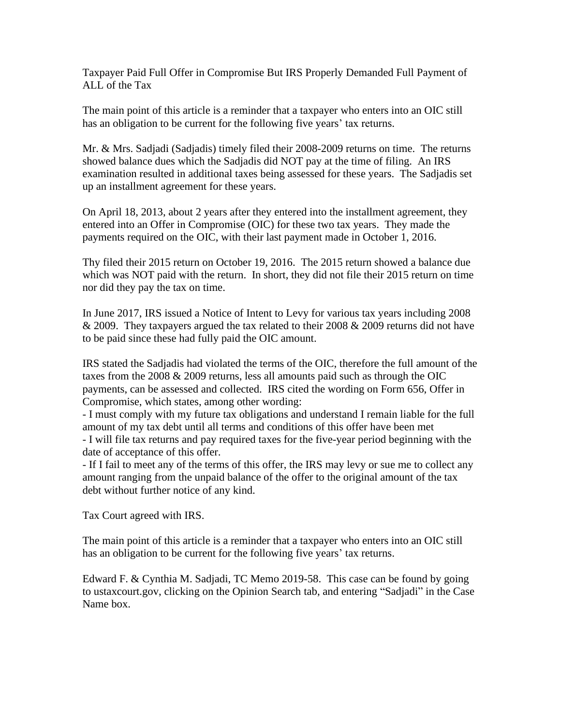Taxpayer Paid Full Offer in Compromise But IRS Properly Demanded Full Payment of ALL of the Tax

The main point of this article is a reminder that a taxpayer who enters into an OIC still has an obligation to be current for the following five years' tax returns.

Mr. & Mrs. Sadjadi (Sadjadis) timely filed their 2008-2009 returns on time. The returns showed balance dues which the Sadjadis did NOT pay at the time of filing. An IRS examination resulted in additional taxes being assessed for these years. The Sadjadis set up an installment agreement for these years.

On April 18, 2013, about 2 years after they entered into the installment agreement, they entered into an Offer in Compromise (OIC) for these two tax years. They made the payments required on the OIC, with their last payment made in October 1, 2016.

Thy filed their 2015 return on October 19, 2016. The 2015 return showed a balance due which was NOT paid with the return. In short, they did not file their 2015 return on time nor did they pay the tax on time.

In June 2017, IRS issued a Notice of Intent to Levy for various tax years including 2008  $& 2009$ . They taxpayers argued the tax related to their 2008  $& 2009$  returns did not have to be paid since these had fully paid the OIC amount.

IRS stated the Sadjadis had violated the terms of the OIC, therefore the full amount of the taxes from the 2008 & 2009 returns, less all amounts paid such as through the OIC payments, can be assessed and collected. IRS cited the wording on Form 656, Offer in Compromise, which states, among other wording:

- I must comply with my future tax obligations and understand I remain liable for the full amount of my tax debt until all terms and conditions of this offer have been met - I will file tax returns and pay required taxes for the five-year period beginning with the date of acceptance of this offer.

- If I fail to meet any of the terms of this offer, the IRS may levy or sue me to collect any amount ranging from the unpaid balance of the offer to the original amount of the tax debt without further notice of any kind.

Tax Court agreed with IRS.

The main point of this article is a reminder that a taxpayer who enters into an OIC still has an obligation to be current for the following five years' tax returns.

Edward F. & Cynthia M. Sadjadi, TC Memo 2019-58. This case can be found by going to ustaxcourt.gov, clicking on the Opinion Search tab, and entering "Sadjadi" in the Case Name box.